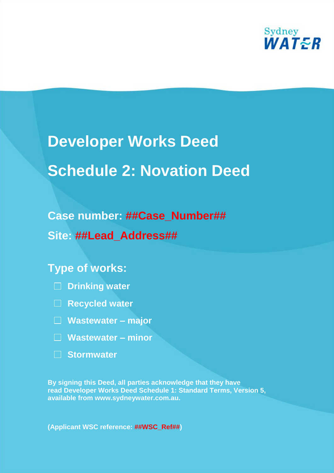

# **Developer Works Deed Schedule 2: Novation Deed**

# **Case number: ##Case\_Number## Site: ##Lead\_Address##**

# **Type of works:**

- **Drinking water**
- **Recycled water**
- **Wastewater – major**
- **Wastewater – minor**
- **Stormwater**

**By signing this Deed, all parties acknowledge that they have read Developer Works Deed Schedule 1: Standard Terms, Version 5, available from www.sydneywater.com.au.**

**(Applicant WSC reference: ##WSC\_Ref##)**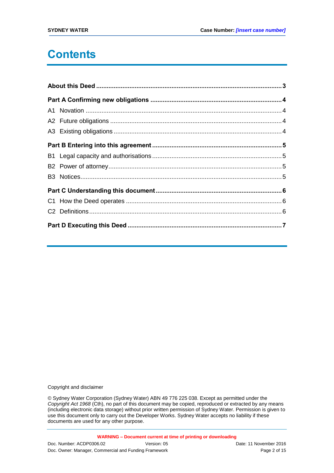# **Contents**

Copyright and disclaimer

© Sydney Water Corporation (Sydney Water) ABN 49 776 225 038. Except as permitted under the *Copyright Act 1968* (Cth), no part of this document may be copied, reproduced or extracted by any means (including electronic data storage) without prior written permission of Sydney Water. Permission is given to use this document only to carry out the Developer Works. Sydney Water accepts no liability if these documents are used for any other purpose.

**WARNING – Document current at time of printing or downloading**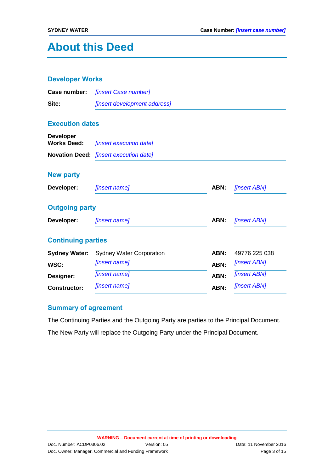# **About this Deed**

#### **Developer Works**

|       | <b>Case number:</b> [insert Case number]   |
|-------|--------------------------------------------|
| Site: | <i><b>[insert development address]</b></i> |

#### **Execution dates**

| <b>Developer</b><br><b>Works Deed:</b> | <i><b>finsert execution datel</b></i>         |
|----------------------------------------|-----------------------------------------------|
|                                        | <b>Novation Deed:</b> [insert execution date] |
| <b>New party</b>                       |                                               |

# **Developer:** *[insert name]* **ABN:** *[insert ABN]* **Outgoing party Developer:** *[insert name]* **ABN:** *[insert ABN]* **Continuing parties Sydney Water:** Sydney Water Corporation **ABN:** 49776 225 038 **WSC:** *[insert name]* **ABN:** *[insert ABN]* **Designer:** *[insert name]* **ABN:** *[insert ABN]* **Constructor:** *[insert name]* **ABN:** *[insert ABN]*

### **Summary of agreement**

The Continuing Parties and the Outgoing Party are parties to the Principal Document.

The New Party will replace the Outgoing Party under the Principal Document.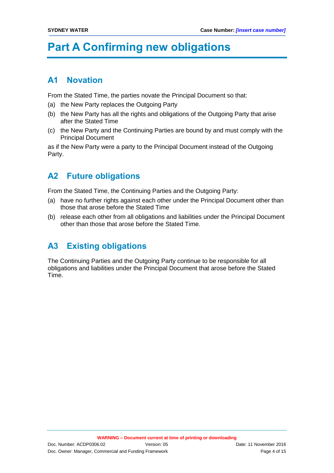# **Part A Confirming new obligations**

## **A1 Novation**

From the Stated Time, the parties novate the Principal Document so that:

- (a) the New Party replaces the Outgoing Party
- (b) the New Party has all the rights and obligations of the Outgoing Party that arise after the Stated Time
- (c) the New Party and the Continuing Parties are bound by and must comply with the Principal Document

as if the New Party were a party to the Principal Document instead of the Outgoing Party.

# **A2 Future obligations**

From the Stated Time, the Continuing Parties and the Outgoing Party:

- (a) have no further rights against each other under the Principal Document other than those that arose before the Stated Time
- (b) release each other from all obligations and liabilities under the Principal Document other than those that arose before the Stated Time.

# **A3 Existing obligations**

The Continuing Parties and the Outgoing Party continue to be responsible for all obligations and liabilities under the Principal Document that arose before the Stated Time.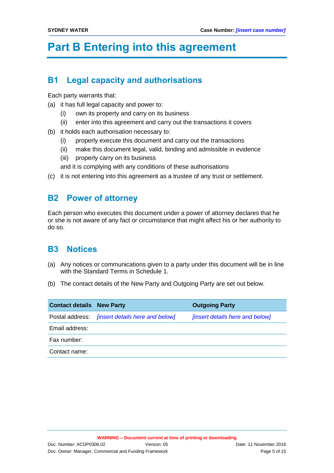# **Part B Entering into this agreement**

# **B1 Legal capacity and authorisations**

Each party warrants that:

- (a) it has full legal capacity and power to:
	- (i) own its property and carry on its business
	- (ii) enter into this agreement and carry out the transactions it covers
- (b) it holds each authorisation necessary to:
	- (i) properly execute this document and carry out the transactions
	- (ii) make this document legal, valid, binding and admissible in evidence
	- (iii) properly carry on its business
	- and it is complying with any conditions of these authorisations
- (c) it is not entering into this agreement as a trustee of any trust or settlement.

### **B2 Power of attorney**

Each person who executes this document under a power of attorney declares that he or she is not aware of any fact or circumstance that might affect his or her authority to do so.

# **B3 Notices**

- (a) Any notices or communications given to a party under this document will be in line with the Standard Terms in Schedule 1.
- (b) The contact details of the New Party and Outgoing Party are set out below.

| <b>Contact details New Party</b> |                                                        | <b>Outgoing Party</b>           |
|----------------------------------|--------------------------------------------------------|---------------------------------|
|                                  | Postal address: <i>[insert details here and below]</i> | [insert details here and below] |
| Email address:                   |                                                        |                                 |
| Fax number:                      |                                                        |                                 |
| Contact name:                    |                                                        |                                 |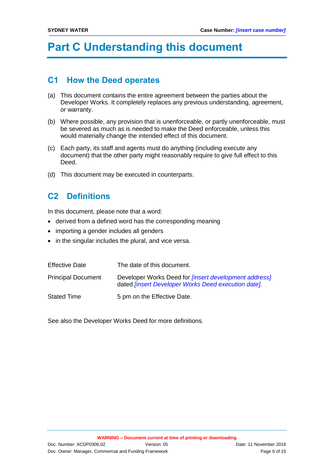# **Part C Understanding this document**

### **C1 How the Deed operates**

- (a) This document contains the entire agreement between the parties about the Developer Works. It completely replaces any previous understanding, agreement, or warranty.
- (b) Where possible, any provision that is unenforceable, or partly unenforceable, must be severed as much as is needed to make the Deed enforceable, unless this would materially change the intended effect of this document.
- (c) Each party, its staff and agents must do anything (including execute any document) that the other party might reasonably require to give full effect to this Deed.
- (d) This document may be executed in counterparts.

# **C2 Definitions**

In this document, please note that a word:

- derived from a defined word has the corresponding meaning
- importing a gender includes all genders
- in the singular includes the plural, and vice versa.

| <b>Effective Date</b>     | The date of this document.                                                                                                  |
|---------------------------|-----------------------------------------------------------------------------------------------------------------------------|
| <b>Principal Document</b> | Developer Works Deed for <i>[insert development address]</i><br>dated <i>[insert Developer Works Deed execution date]</i> . |
| <b>Stated Time</b>        | 5 pm on the Effective Date.                                                                                                 |

See also the Developer Works Deed for more definitions.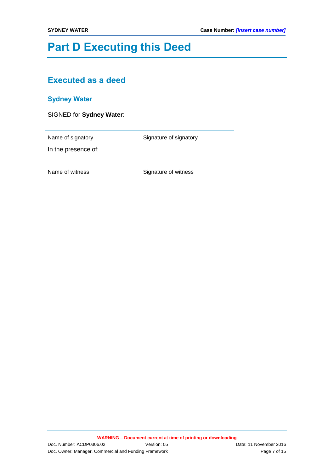# **Part D Executing this Deed**

# **Executed as a deed**

### **Sydney Water**

|  | SIGNED for Sydney Water: |  |
|--|--------------------------|--|
|--|--------------------------|--|

Name of signatory **Name of signatory** Signature of signatory

In the presence of: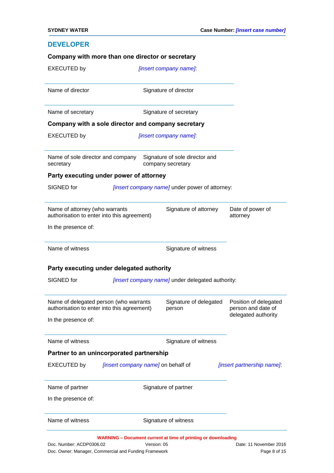#### **DEVELOPER**

| <b>EXECUTED by</b>                             |                                                                                       | [insert company name]                                                |                                                                    |
|------------------------------------------------|---------------------------------------------------------------------------------------|----------------------------------------------------------------------|--------------------------------------------------------------------|
| Name of director                               |                                                                                       | Signature of director                                                |                                                                    |
| Name of secretary                              |                                                                                       | Signature of secretary                                               |                                                                    |
|                                                | Company with a sole director and company secretary                                    |                                                                      |                                                                    |
| <b>EXECUTED by</b>                             |                                                                                       | [insert company name]                                                |                                                                    |
| Name of sole director and company<br>secretary |                                                                                       | Signature of sole director and<br>company secretary                  |                                                                    |
|                                                | Party executing under power of attorney                                               |                                                                      |                                                                    |
| SIGNED for                                     |                                                                                       | [insert company name] under power of attorney:                       |                                                                    |
| Name of attorney (who warrants                 | authorisation to enter into this agreement)                                           | Signature of attorney                                                | Date of power of<br>attorney                                       |
| In the presence of:                            |                                                                                       |                                                                      |                                                                    |
| Name of witness                                |                                                                                       | Signature of witness                                                 |                                                                    |
|                                                | Party executing under delegated authority                                             |                                                                      |                                                                    |
| SIGNED for                                     |                                                                                       | [insert company name] under delegated authority:                     |                                                                    |
|                                                | Name of delegated person (who warrants<br>authorisation to enter into this agreement) | Signature of delegated<br>person                                     | Position of delegated<br>person and date of<br>delegated authority |
| In the presence of:                            |                                                                                       |                                                                      |                                                                    |
| Name of witness                                |                                                                                       | Signature of witness                                                 |                                                                    |
|                                                | Partner to an unincorporated partnership                                              |                                                                      |                                                                    |
| <b>EXECUTED by</b>                             | [insert company name] on behalf of                                                    |                                                                      | [insert partnership name]:                                         |
| Name of partner                                |                                                                                       | Signature of partner                                                 |                                                                    |
| In the presence of:                            |                                                                                       |                                                                      |                                                                    |
| Name of witness                                |                                                                                       | Signature of witness                                                 |                                                                    |
| Doc. Number: ACDP0306.02                       | Version: 05<br>Doc. Owner: Manager, Commercial and Funding Framework                  | <b>WARNING - Document current at time of printing or downloading</b> | Date: 11 November 2016<br>Page 8 of 15                             |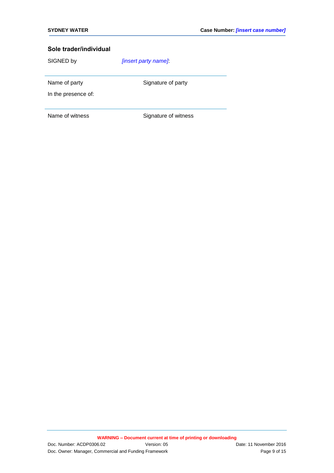SIGNED by *[insert party name]*:

Name of party Signature of party

In the presence of: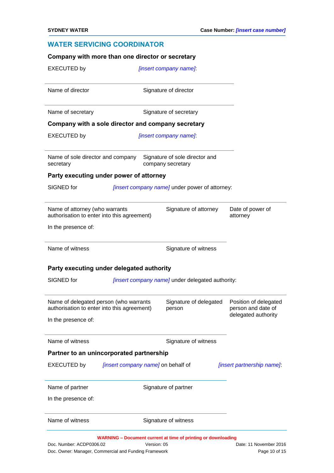### **WATER SERVICING COORDINATOR**

| Party executing under delegated authority<br>SIGNED for<br>In the presence of:<br>Name of witness<br><b>EXECUTED by</b><br>Name of partner<br>In the presence of: | Name of delegated person (who warrants<br>authorisation to enter into this agreement)<br>Partner to an unincorporated partnership<br><i>[insert company name]</i> on behalf of | [insert company name] under delegated authority:<br>Signature of delegated<br>person<br>Signature of witness<br>Signature of partner | Position of delegated<br>person and date of<br>delegated authority<br>[insert partnership name]. |
|-------------------------------------------------------------------------------------------------------------------------------------------------------------------|--------------------------------------------------------------------------------------------------------------------------------------------------------------------------------|--------------------------------------------------------------------------------------------------------------------------------------|--------------------------------------------------------------------------------------------------|
|                                                                                                                                                                   |                                                                                                                                                                                |                                                                                                                                      |                                                                                                  |
|                                                                                                                                                                   |                                                                                                                                                                                |                                                                                                                                      |                                                                                                  |
|                                                                                                                                                                   |                                                                                                                                                                                |                                                                                                                                      |                                                                                                  |
|                                                                                                                                                                   |                                                                                                                                                                                |                                                                                                                                      |                                                                                                  |
|                                                                                                                                                                   |                                                                                                                                                                                |                                                                                                                                      |                                                                                                  |
|                                                                                                                                                                   |                                                                                                                                                                                |                                                                                                                                      |                                                                                                  |
|                                                                                                                                                                   |                                                                                                                                                                                |                                                                                                                                      |                                                                                                  |
| Name of witness                                                                                                                                                   |                                                                                                                                                                                | Signature of witness                                                                                                                 |                                                                                                  |
| In the presence of:                                                                                                                                               |                                                                                                                                                                                |                                                                                                                                      |                                                                                                  |
| Name of attorney (who warrants                                                                                                                                    | authorisation to enter into this agreement)                                                                                                                                    | Signature of attorney                                                                                                                | Date of power of<br>attorney                                                                     |
| SIGNED for                                                                                                                                                        |                                                                                                                                                                                | [insert company name] under power of attorney:                                                                                       |                                                                                                  |
|                                                                                                                                                                   | Party executing under power of attorney                                                                                                                                        |                                                                                                                                      |                                                                                                  |
| Name of sole director and company<br>secretary                                                                                                                    |                                                                                                                                                                                | Signature of sole director and<br>company secretary                                                                                  |                                                                                                  |
| <b>EXECUTED by</b>                                                                                                                                                |                                                                                                                                                                                | [insert company name]                                                                                                                |                                                                                                  |
| Name of secretary                                                                                                                                                 | Company with a sole director and company secretary                                                                                                                             | Signature of secretary                                                                                                               |                                                                                                  |
|                                                                                                                                                                   |                                                                                                                                                                                |                                                                                                                                      |                                                                                                  |
|                                                                                                                                                                   |                                                                                                                                                                                | Signature of director                                                                                                                |                                                                                                  |
| Name of director                                                                                                                                                  |                                                                                                                                                                                |                                                                                                                                      |                                                                                                  |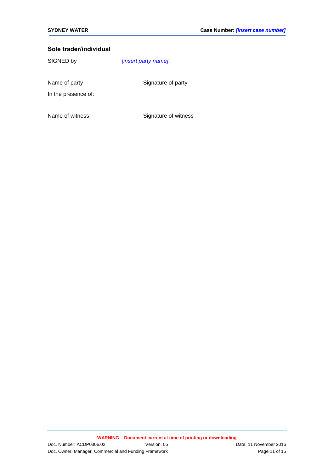SIGNED by *[insert party name]*:

Name of party Signature of party

In the presence of: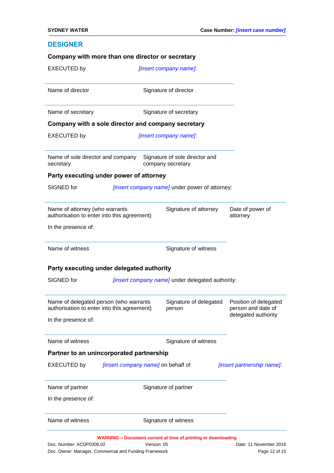#### **DESIGNER**

|                                                              |                                                                                       | [insert company name]                               |                                             |
|--------------------------------------------------------------|---------------------------------------------------------------------------------------|-----------------------------------------------------|---------------------------------------------|
| Name of director                                             |                                                                                       | Signature of director                               |                                             |
| Name of secretary                                            |                                                                                       | Signature of secretary                              |                                             |
|                                                              | Company with a sole director and company secretary                                    |                                                     |                                             |
| <b>EXECUTED by</b>                                           |                                                                                       | [insert company name]                               |                                             |
| Name of sole director and company<br>secretary               |                                                                                       | Signature of sole director and<br>company secretary |                                             |
|                                                              | Party executing under power of attorney                                               |                                                     |                                             |
| SIGNED for                                                   |                                                                                       | [insert company name] under power of attorney:      |                                             |
| Name of attorney (who warrants                               | authorisation to enter into this agreement)                                           | Signature of attorney                               | Date of power of<br>attorney                |
| In the presence of:                                          |                                                                                       |                                                     |                                             |
| Name of witness                                              |                                                                                       | Signature of witness                                |                                             |
|                                                              | Party executing under delegated authority                                             |                                                     |                                             |
| SIGNED for                                                   |                                                                                       | [insert company name] under delegated authority:    |                                             |
|                                                              |                                                                                       |                                                     |                                             |
|                                                              | Name of delegated person (who warrants<br>authorisation to enter into this agreement) | Signature of delegated<br>person                    | Position of delegated<br>person and date of |
|                                                              |                                                                                       |                                                     | delegated authority                         |
|                                                              |                                                                                       | Signature of witness                                |                                             |
|                                                              | Partner to an unincorporated partnership                                              |                                                     |                                             |
| In the presence of:<br>Name of witness<br><b>EXECUTED by</b> | <i>linsert company name]</i> on behalf of                                             |                                                     | [insert partnership name]:                  |
|                                                              |                                                                                       | Signature of partner                                |                                             |
| In the presence of:                                          |                                                                                       |                                                     |                                             |
| Name of partner<br>Name of witness                           |                                                                                       | Signature of witness                                |                                             |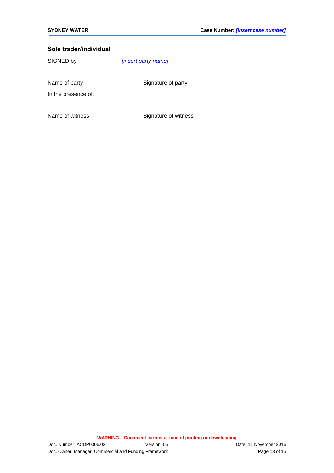SIGNED by *[insert party name]*:

Name of party Signature of party

In the presence of: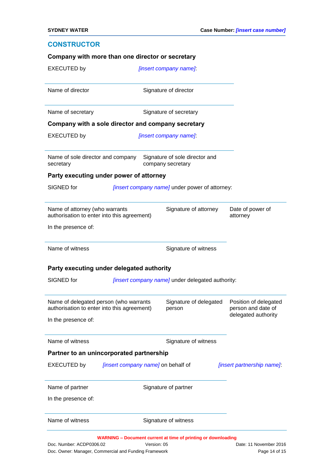#### **CONSTRUCTOR**

| Company with a sole director and company secretary<br>Name of sole director and company<br>Party executing under power of attorney | Signature of director<br>Signature of secretary<br>[insert company name]<br>Signature of sole director and<br>company secretary<br>[insert company name] under power of attorney: |                                                                                               |
|------------------------------------------------------------------------------------------------------------------------------------|-----------------------------------------------------------------------------------------------------------------------------------------------------------------------------------|-----------------------------------------------------------------------------------------------|
|                                                                                                                                    |                                                                                                                                                                                   |                                                                                               |
|                                                                                                                                    |                                                                                                                                                                                   |                                                                                               |
|                                                                                                                                    |                                                                                                                                                                                   |                                                                                               |
|                                                                                                                                    |                                                                                                                                                                                   |                                                                                               |
|                                                                                                                                    |                                                                                                                                                                                   |                                                                                               |
|                                                                                                                                    |                                                                                                                                                                                   |                                                                                               |
|                                                                                                                                    |                                                                                                                                                                                   |                                                                                               |
| Name of attorney (who warrants                                                                                                     | Signature of attorney                                                                                                                                                             | Date of power of<br>attorney                                                                  |
|                                                                                                                                    |                                                                                                                                                                                   |                                                                                               |
|                                                                                                                                    | Signature of witness                                                                                                                                                              |                                                                                               |
|                                                                                                                                    |                                                                                                                                                                                   |                                                                                               |
|                                                                                                                                    |                                                                                                                                                                                   |                                                                                               |
|                                                                                                                                    | Signature of delegated<br>person                                                                                                                                                  | Position of delegated<br>person and date of                                                   |
|                                                                                                                                    |                                                                                                                                                                                   | delegated authority                                                                           |
|                                                                                                                                    | Signature of witness                                                                                                                                                              |                                                                                               |
| Partner to an unincorporated partnership                                                                                           |                                                                                                                                                                                   |                                                                                               |
|                                                                                                                                    |                                                                                                                                                                                   |                                                                                               |
| <i>[insert company name]</i> on behalf of                                                                                          |                                                                                                                                                                                   | [insert partnership name].                                                                    |
|                                                                                                                                    | Signature of partner                                                                                                                                                              |                                                                                               |
|                                                                                                                                    |                                                                                                                                                                                   |                                                                                               |
|                                                                                                                                    | authorisation to enter into this agreement)<br>Name of delegated person (who warrants<br>authorisation to enter into this agreement)                                              | Party executing under delegated authority<br>[insert company name] under delegated authority: |